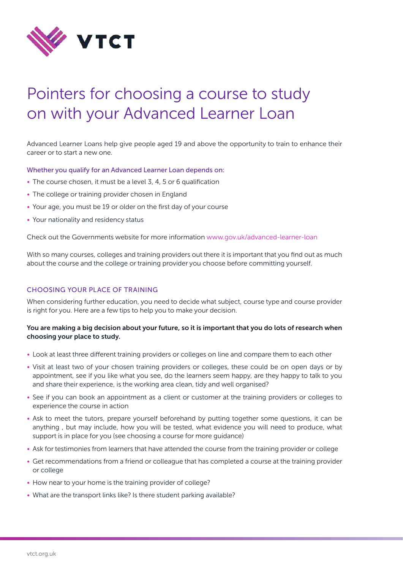

# Pointers for choosing a course to study on with your Advanced Learner Loan

Advanced Learner Loans help give people aged 19 and above the opportunity to train to enhance their career or to start a new one.

Whether you qualify for an Advanced Learner Loan depends on:

- The course chosen, it must be a level 3, 4, 5 or 6 qualification
- The college or training provider chosen in England
- Your age, you must be 19 or older on the first day of your course
- Your nationality and residency status

Check out the Governments website for more information [www.gov.uk/advanced-learner-loan](https://www.gov.uk/advanced-learner-loan)

With so many courses, colleges and training providers out there it is important that you find out as much about the course and the college or training provider you choose before committing yourself.

## CHOOSING YOUR PLACE OF TRAINING

When considering further education, you need to decide what subject, course type and course provider is right for you. Here are a few tips to help you to make your decision.

## You are making a big decision about your future, so it is important that you do lots of research when choosing your place to study.

- Look at least three different training providers or colleges on line and compare them to each other
- Visit at least two of your chosen training providers or colleges, these could be on open days or by appointment, see if you like what you see, do the learners seem happy, are they happy to talk to you and share their experience, is the working area clean, tidy and well organised?
- See if you can book an appointment as a client or customer at the training providers or colleges to experience the course in action
- Ask to meet the tutors, prepare yourself beforehand by putting together some questions, it can be anything , but may include, how you will be tested, what evidence you will need to produce, what support is in place for you (see choosing a course for more guidance)
- Ask for testimonies from learners that have attended the course from the training provider or college
- Get recommendations from a friend or colleague that has completed a course at the training provider or college
- How near to your home is the training provider of college?
- What are the transport links like? Is there student parking available?